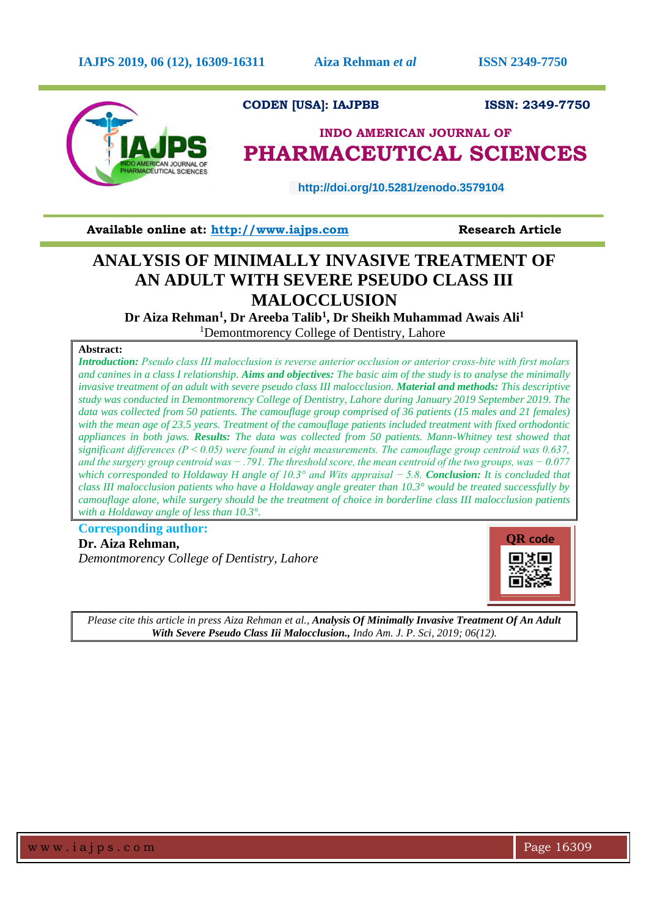

**CODEN [USA]: IAJPBB ISSN: 2349-7750** 

# **INDO AMERICAN JOURNAL OF PHARMACEUTICAL SCIENCES**

 **http://doi.org/10.5281/zenodo.3579104** 

**Available online at: [http://www.iajps.com](http://www.iajps.com/)****Research Article**

## **ANALYSIS OF MINIMALLY INVASIVE TREATMENT OF AN ADULT WITH SEVERE PSEUDO CLASS III MALOCCLUSION**

**Dr Aiza Rehman<sup>1</sup> , Dr Areeba Talib<sup>1</sup> , Dr Sheikh Muhammad Awais Ali<sup>1</sup>**

<sup>1</sup>Demontmorency College of Dentistry, Lahore

## **Abstract:**

*Introduction: Pseudo class III malocclusion is reverse anterior occlusion or anterior cross‐bite with first molars and canines in a class I relationship. Aims and objectives: The basic aim of the study is to analyse the minimally invasive treatment of an adult with severe pseudo class III malocclusion. Material and methods: This descriptive study was conducted in Demontmorency College of Dentistry, Lahore during January 2019 September 2019. The data was collected from 50 patients. The camouflage group comprised of 36 patients (15 males and 21 females) with the mean age of 23.5 years. Treatment of the camouflage patients included treatment with fixed orthodontic appliances in both jaws. Results: The data was collected from 50 patients. Mann-Whitney test showed that significant differences (P < 0.05) were found in eight measurements. The camouflage group centroid was 0.637, and the surgery group centroid was − .791. The threshold score, the mean centroid of the two groups, was − 0.077 which corresponded to Holdaway H angle of 10.3° and Wits appraisal − 5.8. Conclusion: It is concluded that class III malocclusion patients who have a Holdaway angle greater than 10.3° would be treated successfully by camouflage alone, while surgery should be the treatment of choice in borderline class III malocclusion patients with a Holdaway angle of less than 10.3°.*

**Corresponding author: Dr. Aiza Rehman,** *Demontmorency College of Dentistry, Lahore*



*Please cite this article in press Aiza Rehman et al., Analysis Of Minimally Invasive Treatment Of An Adult With Severe Pseudo Class Iii Malocclusion., Indo Am. J. P. Sci, 2019; 06(12).*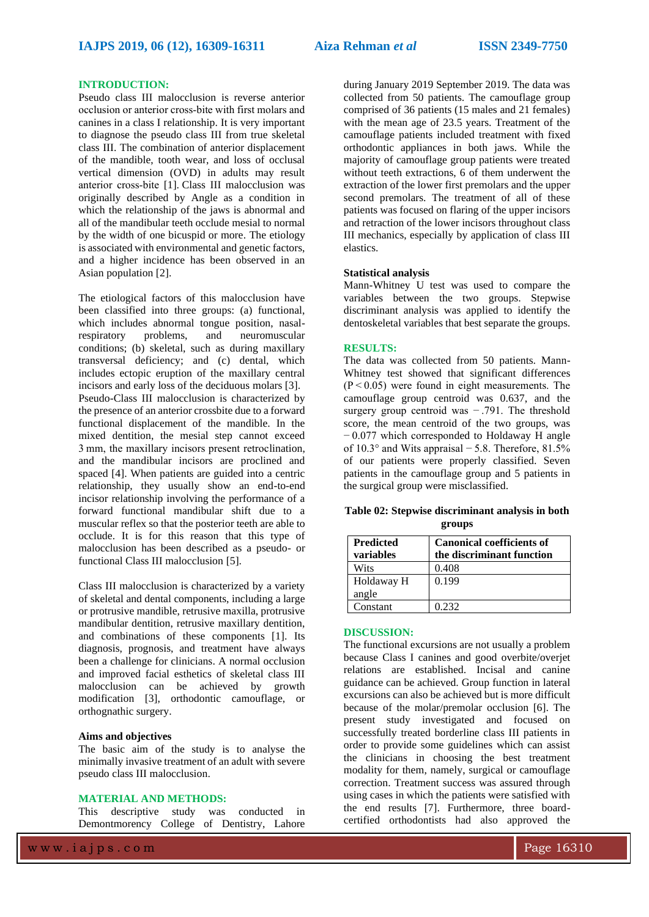### **INTRODUCTION:**

Pseudo class III malocclusion is reverse anterior occlusion or anterior cross‐bite with first molars and canines in a class I relationship. It is very important to diagnose the pseudo class III from true skeletal class III. The combination of anterior displacement of the mandible, tooth wear, and loss of occlusal vertical dimension (OVD) in adults may result anterior cross‐bite [1]. Class III malocclusion was originally described by Angle as a condition in which the relationship of the jaws is abnormal and all of the mandibular teeth occlude mesial to normal by the width of one bicuspid or more. The etiology is associated with environmental and genetic factors, and a higher incidence has been observed in an Asian population [\[2\]](https://www.hindawi.com/journals/crid/2014/652936/?utm_source=google&utm_medium=cpc&utm_campaign=HDW_MRKT_GBL_SUB_ADWO_PAI_DYNA_JOUR_X&gclid=Cj0KCQiA0NfvBRCVARIsAO4930n3SQJefAXRnvZ5B2JO0IPD3Lx7QwWB95EyYUV-EHCpMxWiO7X_7D0aAuNmEALw_wcB#B2).

The etiological factors of this malocclusion have been classified into three groups: (a) functional, which includes abnormal tongue position, nasalrespiratory problems, and neuromuscular conditions; (b) skeletal, such as during maxillary transversal deficiency; and (c) dental, which includes ectopic eruption of the maxillary central incisors and early loss of the deciduous molars [3]. Pseudo-Class III malocclusion is characterized by the presence of an anterior crossbite due to a forward functional displacement of the mandible. In the mixed dentition, the mesial step cannot exceed 3 mm, the maxillary incisors present retroclination, and the mandibular incisors are proclined and spaced [\[4\]](https://www.hindawi.com/journals/crid/2014/652936/?utm_source=google&utm_medium=cpc&utm_campaign=HDW_MRKT_GBL_SUB_ADWO_PAI_DYNA_JOUR_X&gclid=Cj0KCQiA0NfvBRCVARIsAO4930n3SQJefAXRnvZ5B2JO0IPD3Lx7QwWB95EyYUV-EHCpMxWiO7X_7D0aAuNmEALw_wcB#B4). When patients are guided into a centric relationship, they usually show an end-to-end incisor relationship involving the performance of a forward functional mandibular shift due to a muscular reflex so that the posterior teeth are able to occlude. It is for this reason that this type of malocclusion has been described as a pseudo- or functional Class III malocclusion [5].

Class III malocclusion is characterized by a variety of skeletal and dental components, including a large or protrusive mandible, retrusive maxilla, protrusive mandibular dentition, retrusive maxillary dentition, and combinations of these components [1]. Its diagnosis, prognosis, and treatment have always been a challenge for clinicians. A normal occlusion and improved facial esthetics of skeletal class III malocclusion can be achieved by growth modification [3], orthodontic camouflage, or orthognathic surgery.

### **Aims and objectives**

The basic aim of the study is to analyse the minimally invasive treatment of an adult with severe pseudo class III malocclusion.

#### **MATERIAL AND METHODS:**

This descriptive study was conducted in Demontmorency College of Dentistry, Lahore during January 2019 September 2019. The data was collected from 50 patients. The camouflage group comprised of 36 patients (15 males and 21 females) with the mean age of 23.5 years. Treatment of the camouflage patients included treatment with fixed orthodontic appliances in both jaws. While the majority of camouflage group patients were treated without teeth extractions, 6 of them underwent the extraction of the lower first premolars and the upper second premolars. The treatment of all of these patients was focused on flaring of the upper incisors and retraction of the lower incisors throughout class III mechanics, especially by application of class III elastics.

## **Statistical analysis**

Mann-Whitney U test was used to compare the variables between the two groups. Stepwise discriminant analysis was applied to identify the dentoskeletal variables that best separate the groups.

#### **RESULTS:**

The data was collected from 50 patients. Mann-Whitney test showed that significant differences  $(P < 0.05)$  were found in eight measurements. The camouflage group centroid was 0.637, and the surgery group centroid was − .791. The threshold score, the mean centroid of the two groups, was − 0.077 which corresponded to Holdaway H angle of 10.3° and Wits appraisal − 5.8. Therefore, 81.5% of our patients were properly classified. Seven patients in the camouflage group and 5 patients in the surgical group were misclassified.

|  | Table 02: Stepwise discriminant analysis in both |  |  |
|--|--------------------------------------------------|--|--|
|  | groups                                           |  |  |

| <b>Predicted</b><br>variables | <b>Canonical coefficients of</b><br>the discriminant function |
|-------------------------------|---------------------------------------------------------------|
| Wits                          | 0.408                                                         |
| Holdaway H<br>angle           | 0.199                                                         |
| Constant                      | 0.232                                                         |

#### **DISCUSSION:**

The functional excursions are not usually a problem because Class I canines and good overbite/overjet relations are established. Incisal and canine guidance can be achieved. Group function in lateral excursions can also be achieved but is more difficult because of the molar/premolar occlusion [6]. The present study investigated and focused on successfully treated borderline class III patients in order to provide some guidelines which can assist the clinicians in choosing the best treatment modality for them, namely, surgical or camouflage correction. Treatment success was assured through using cases in which the patients were satisfied with the end results [7]. Furthermore, three boardcertified orthodontists had also approved the